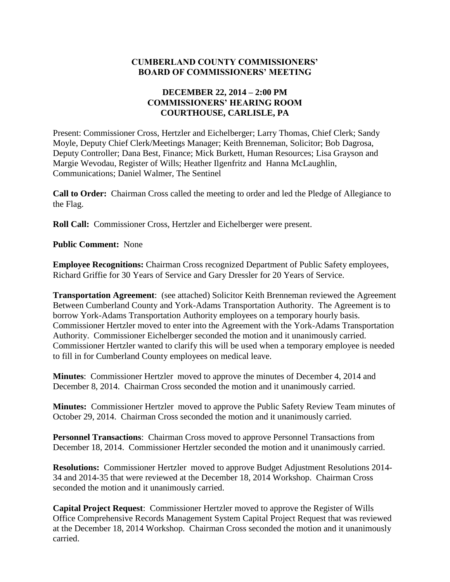#### **CUMBERLAND COUNTY COMMISSIONERS' BOARD OF COMMISSIONERS' MEETING**

### **DECEMBER 22, 2014 – 2:00 PM COMMISSIONERS' HEARING ROOM COURTHOUSE, CARLISLE, PA**

Present: Commissioner Cross, Hertzler and Eichelberger; Larry Thomas, Chief Clerk; Sandy Moyle, Deputy Chief Clerk/Meetings Manager; Keith Brenneman, Solicitor; Bob Dagrosa, Deputy Controller; Dana Best, Finance; Mick Burkett, Human Resources; Lisa Grayson and Margie Wevodau, Register of Wills; Heather Ilgenfritz and Hanna McLaughlin, Communications; Daniel Walmer, The Sentinel

**Call to Order:** Chairman Cross called the meeting to order and led the Pledge of Allegiance to the Flag.

**Roll Call:** Commissioner Cross, Hertzler and Eichelberger were present.

**Public Comment:** None

**Employee Recognitions:** Chairman Cross recognized Department of Public Safety employees, Richard Griffie for 30 Years of Service and Gary Dressler for 20 Years of Service.

**Transportation Agreement**: (see attached) Solicitor Keith Brenneman reviewed the Agreement Between Cumberland County and York-Adams Transportation Authority. The Agreement is to borrow York-Adams Transportation Authority employees on a temporary hourly basis. Commissioner Hertzler moved to enter into the Agreement with the York-Adams Transportation Authority. Commissioner Eichelberger seconded the motion and it unanimously carried. Commissioner Hertzler wanted to clarify this will be used when a temporary employee is needed to fill in for Cumberland County employees on medical leave.

**Minutes**: Commissioner Hertzler moved to approve the minutes of December 4, 2014 and December 8, 2014. Chairman Cross seconded the motion and it unanimously carried.

**Minutes:** Commissioner Hertzler moved to approve the Public Safety Review Team minutes of October 29, 2014. Chairman Cross seconded the motion and it unanimously carried.

**Personnel Transactions**: Chairman Cross moved to approve Personnel Transactions from December 18, 2014. Commissioner Hertzler seconded the motion and it unanimously carried.

**Resolutions:** Commissioner Hertzler moved to approve Budget Adjustment Resolutions 2014- 34 and 2014-35 that were reviewed at the December 18, 2014 Workshop. Chairman Cross seconded the motion and it unanimously carried.

**Capital Project Request**: Commissioner Hertzler moved to approve the Register of Wills Office Comprehensive Records Management System Capital Project Request that was reviewed at the December 18, 2014 Workshop. Chairman Cross seconded the motion and it unanimously carried.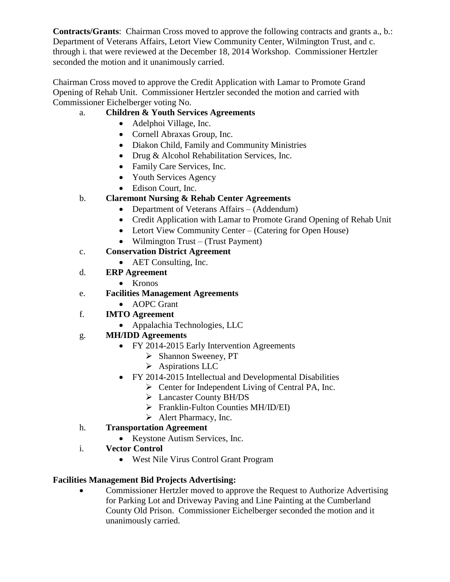**Contracts/Grants**: Chairman Cross moved to approve the following contracts and grants a., b.: Department of Veterans Affairs, Letort View Community Center, Wilmington Trust, and c. through i. that were reviewed at the December 18, 2014 Workshop. Commissioner Hertzler seconded the motion and it unanimously carried.

Chairman Cross moved to approve the Credit Application with Lamar to Promote Grand Opening of Rehab Unit. Commissioner Hertzler seconded the motion and carried with Commissioner Eichelberger voting No.

# a. **Children & Youth Services Agreements**

- Adelphoi Village, Inc.
- Cornell Abraxas Group, Inc.
- Diakon Child, Family and Community Ministries
- Drug & Alcohol Rehabilitation Services, Inc.
- Family Care Services, Inc.
- Youth Services Agency
- Edison Court, Inc.

# b. **Claremont Nursing & Rehab Center Agreements**

- Department of Veterans Affairs (Addendum)
- Credit Application with Lamar to Promote Grand Opening of Rehab Unit
- Letort View Community Center (Catering for Open House)
- Wilmington Trust (Trust Payment)
- c. **Conservation District Agreement**
	- AET Consulting, Inc.
- d. **ERP Agreement**
	- Kronos
- e. **Facilities Management Agreements**
	- AOPC Grant
- f. **IMTO Agreement** 
	- Appalachia Technologies, LLC

# g. **MH/IDD Agreements**

- FY 2014-2015 Early Intervention Agreements
	- $\triangleright$  Shannon Sweeney, PT
	- $\triangleright$  Aspirations LLC
- FY 2014-2015 Intellectual and Developmental Disabilities
	- $\triangleright$  Center for Independent Living of Central PA, Inc.
	- Lancaster County BH/DS
	- $\triangleright$  Franklin-Fulton Counties MH/ID/EI)
	- $\triangleright$  Alert Pharmacy, Inc.

### h. **Transportation Agreement**

- Keystone Autism Services, Inc.
- i. **Vector Control**
	- West Nile Virus Control Grant Program

# **Facilities Management Bid Projects Advertising:**

• Commissioner Hertzler moved to approve the Request to Authorize Advertising for Parking Lot and Driveway Paving and Line Painting at the Cumberland County Old Prison. Commissioner Eichelberger seconded the motion and it unanimously carried.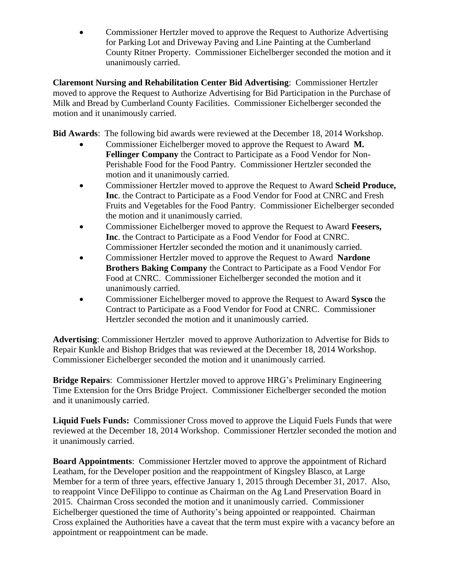• Commissioner Hertzler moved to approve the Request to Authorize Advertising for Parking Lot and Driveway Paving and Line Painting at the Cumberland County Ritner Property. Commissioner Eichelberger seconded the motion and it unanimously carried.

**Claremont Nursing and Rehabilitation Center Bid Advertising**: Commissioner Hertzler moved to approve the Request to Authorize Advertising for Bid Participation in the Purchase of Milk and Bread by Cumberland County Facilities. Commissioner Eichelberger seconded the motion and it unanimously carried.

**Bid Awards**: The following bid awards were reviewed at the December 18, 2014 Workshop.

- Commissioner Eichelberger moved to approve the Request to Award **M. Fellinger Company** the Contract to Participate as a Food Vendor for Non-Perishable Food for the Food Pantry. Commissioner Hertzler seconded the motion and it unanimously carried.
- Commissioner Hertzler moved to approve the Request to Award **Scheid Produce, Inc**. the Contract to Participate as a Food Vendor for Food at CNRC and Fresh Fruits and Vegetables for the Food Pantry. Commissioner Eichelberger seconded the motion and it unanimously carried.
- Commissioner Eichelberger moved to approve the Request to Award **Feesers, Inc**. the Contract to Participate as a Food Vendor for Food at CNRC. Commissioner Hertzler seconded the motion and it unanimously carried.
- Commissioner Hertzler moved to approve the Request to Award **Nardone Brothers Baking Company** the Contract to Participate as a Food Vendor For Food at CNRC. Commissioner Eichelberger seconded the motion and it unanimously carried.
- Commissioner Eichelberger moved to approve the Request to Award **Sysco** the Contract to Participate as a Food Vendor for Food at CNRC. Commissioner Hertzler seconded the motion and it unanimously carried.

**Advertising**: Commissioner Hertzler moved to approve Authorization to Advertise for Bids to Repair Kunkle and Bishop Bridges that was reviewed at the December 18, 2014 Workshop. Commissioner Eichelberger seconded the motion and it unanimously carried.

**Bridge Repairs**: Commissioner Hertzler moved to approve HRG's Preliminary Engineering Time Extension for the Orrs Bridge Project. Commissioner Eichelberger seconded the motion and it unanimously carried.

**Liquid Fuels Funds:** Commissioner Cross moved to approve the Liquid Fuels Funds that were reviewed at the December 18, 2014 Workshop. Commissioner Hertzler seconded the motion and it unanimously carried.

**Board Appointments**: Commissioner Hertzler moved to approve the appointment of Richard Leatham, for the Developer position and the reappointment of Kingsley Blasco, at Large Member for a term of three years, effective January 1, 2015 through December 31, 2017. Also, to reappoint Vince DeFilippo to continue as Chairman on the Ag Land Preservation Board in 2015. Chairman Cross seconded the motion and it unanimously carried. Commissioner Eichelberger questioned the time of Authority's being appointed or reappointed. Chairman Cross explained the Authorities have a caveat that the term must expire with a vacancy before an appointment or reappointment can be made.